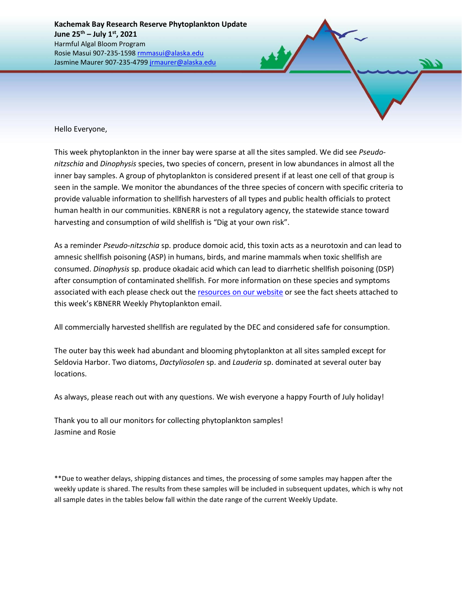Hello Everyone,

This week phytoplankton in the inner bay were sparse at all the sites sampled. We did see *Pseudonitzschia* and *Dinophysis* species, two species of concern, present in low abundances in almost all the inner bay samples. A group of phytoplankton is considered present if at least one cell of that group is seen in the sample. We monitor the abundances of the three species of concern with specific criteria to provide valuable information to shellfish harvesters of all types and public health officials to protect human health in our communities. KBNERR is not a regulatory agency, the statewide stance toward harvesting and consumption of wild shellfish is "Dig at your own risk".

As a reminder *Pseudo-nitzschia* sp. produce domoic acid, this toxin acts as a neurotoxin and can lead to amnesic shellfish poisoning (ASP) in humans, birds, and marine mammals when toxic shellfish are consumed. *Dinophysis* sp. produce okadaic acid which can lead to diarrhetic shellfish poisoning (DSP) after consumption of contaminated shellfish. For more information on these species and symptoms associated with each please check out the [resources on our website](https://accs.uaa.alaska.edu/kbnerr/community-monitoring/community-monitor-training-resources/) or see the fact sheets attached to this week's KBNERR Weekly Phytoplankton email.

All commercially harvested shellfish are regulated by the DEC and considered safe for consumption.

The outer bay this week had abundant and blooming phytoplankton at all sites sampled except for Seldovia Harbor. Two diatoms, *Dactyliosolen* sp. and *Lauderia* sp. dominated at several outer bay locations.

As always, please reach out with any questions. We wish everyone a happy Fourth of July holiday!

Thank you to all our monitors for collecting phytoplankton samples! Jasmine and Rosie

\*\*Due to weather delays, shipping distances and times, the processing of some samples may happen after the weekly update is shared. The results from these samples will be included in subsequent updates, which is why not all sample dates in the tables below fall within the date range of the current Weekly Update.